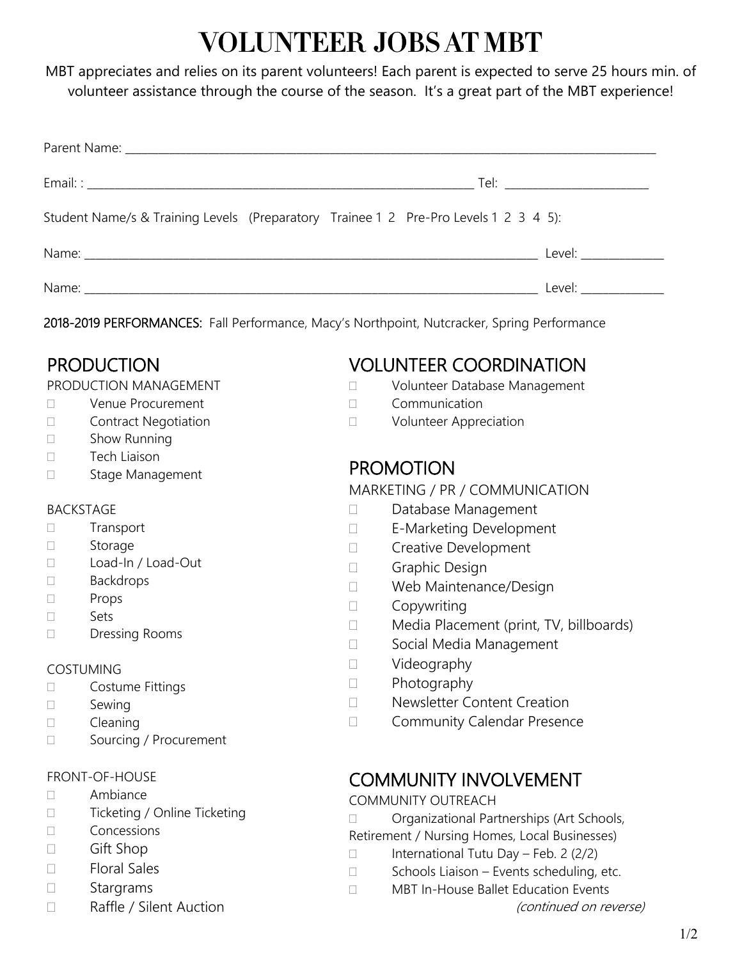# VOLUNTEER JOBS AT MBT

MBT appreciates and relies on its parent volunteers! Each parent is expected to serve 25 hours min. of volunteer assistance through the course of the season. It's a great part of the MBT experience!

| Student Name/s & Training Levels (Preparatory Trainee 1 2 Pre-Pro Levels 1 2 3 4 5): |  |                        |
|--------------------------------------------------------------------------------------|--|------------------------|
|                                                                                      |  | Level: _______________ |
|                                                                                      |  | Level: ______________  |

2018-2019 PERFORMANCES: Fall Performance, Macy's Northpoint, Nutcracker, Spring Performance

# PRODUCTION

### PRODUCTION MANAGEMENT

- D Venue Procurement
- D Contract Negotiation
- □ Show Running
- D Tech Liaison
- □ Stage Management

### BACKSTAGE

□ Transport

- □ Storage
- □ Load-In / Load-Out
- □ Backdrops
- □ Props
- Sets
- Dressing Rooms

### COSTUMING

- Costume Fittings
- □ Sewing
- Cleaning
- □ Sourcing / Procurement

### FRONT-OF-HOUSE

- Ambiance
- □ Ticketing / Online Ticketing
- Concessions
- □ Gift Shop
- Floral Sales
- □ Stargrams
- □ Raffle / Silent Auction

# VOLUNTEER COORDINATION

- □ Volunteer Database Management
- Communication
- D Volunteer Appreciation

### PROMOTION

### MARKETING / PR / COMMUNICATION

- Database Management
- □ E-Marketing Development
- D Creative Development
- Graphic Design
- D Web Maintenance/Design
- □ Copywriting
- □ Media Placement (print, TV, billboards)
- □ Social Media Management
- □ Videography
- $\Box$  Photography
- D Newsletter Content Creation
- □ Community Calendar Presence

### COMMUNITY INVOLVEMENT

### COMMUNITY OUTREACH

- □ Organizational Partnerships (Art Schools,
- Retirement / Nursing Homes, Local Businesses)
- $\Box$  International Tutu Day Feb. 2 (2/2)
- $\Box$  Schools Liaison Events scheduling, etc.
- □ MBT In-House Ballet Education Events
	- (continued on reverse)